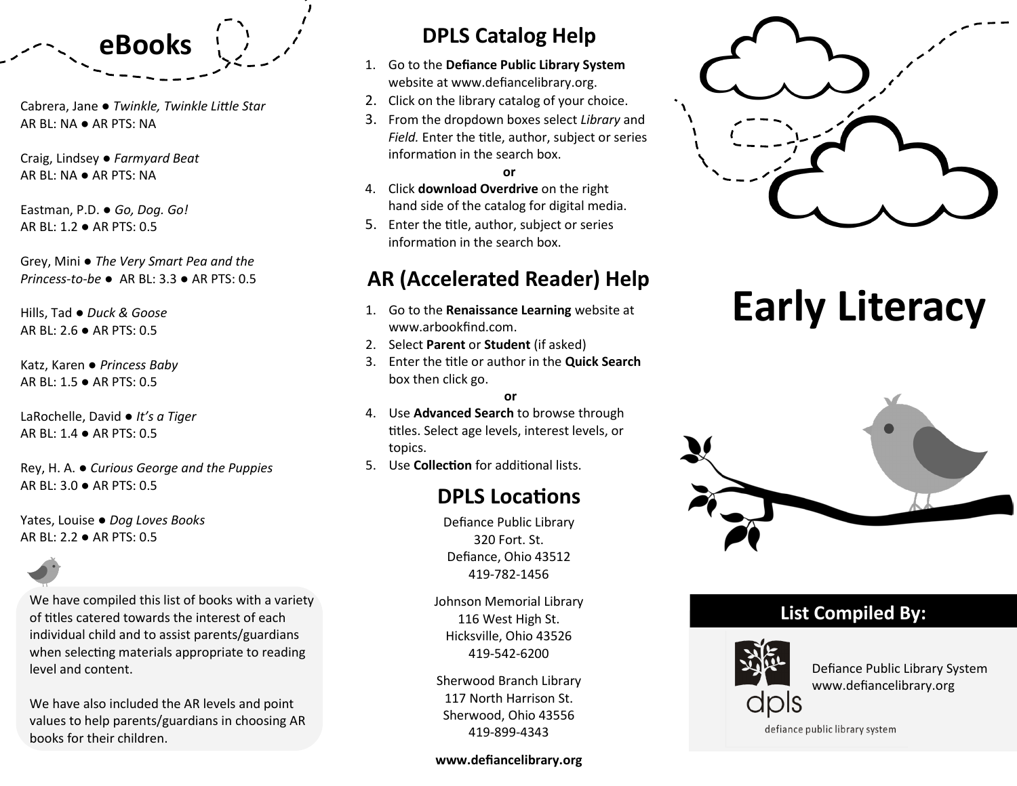

Cabrera, Jane ● *Twinkle, Twinkle Little Star* AR BL: NA ● AR PTS: NA

Craig, Lindsey ● *Farmyard Beat* AR BL: NA ● AR PTS: NA

Eastman, P.D. ● *Go, Dog. Go!* AR BL: 1.2 ● AR PTS: 0.5

Grey, Mini ● *The Very Smart Pea and the Princess-to-be* ● AR BL: 3.3 ● AR PTS: 0.5

Hills, Tad ● *Duck & Goose* AR BL: 2.6 ● AR PTS: 0.5

Katz, Karen ● *Princess Baby* AR BL: 1.5 ● AR PTS: 0.5

LaRochelle, David ● *It's a Tiger* AR BL: 1.4 ● AR PTS: 0.5

Rey, H. A. ● *Curious George and the Puppies* AR BL: 3.0 ● AR PTS: 0.5

Yates, Louise ● *Dog Loves Books* AR BL: 2.2 ● AR PTS: 0.5

We have compiled this list of books with a variety of titles catered towards the interest of each individual child and to assist parents/guardians when selecting materials appropriate to reading level and content.

We have also included the AR levels and point values to help parents/guardians in choosing AR books for their children.

## **DPLS Catalog Help**

- 1. Go to the **Defiance Public Library System**  website at www.defiancelibrary.org.
- 2. Click on the library catalog of your choice.
- 3. From the dropdown boxes select *Library* and *Field.* Enter the title, author, subject or series information in the search box.

**or** 

- 4. Click **download Overdrive** on the right hand side of the catalog for digital media.
- 5. Enter the title, author, subject or series information in the search box.

## **AR (Accelerated Reader) Help**

- 1. Go to the **Renaissance Learning** website at www.arbookfind.com.
- 2. Select **Parent** or **Student** (if asked)
- 3. Enter the title or author in the **Quick Search**  box then click go.

#### **or**

- 4. Use **Advanced Search** to browse through titles. Select age levels, interest levels, or topics.
- 5. Use **Collection** for additional lists.

## **DPLS Locations**

Defiance Public Library 320 Fort. St. Defiance, Ohio 43512 419-782-1456

Johnson Memorial Library 116 West High St. Hicksville, Ohio 43526 419-542-6200

Sherwood Branch Library 117 North Harrison St. Sherwood, Ohio 43556 419-899-4343

#### **www.defiancelibrary.org**



# **Early Literacy**



## **List Compiled By:**



Defiance Public Library System www.defiancelibrary.org

defiance public library system